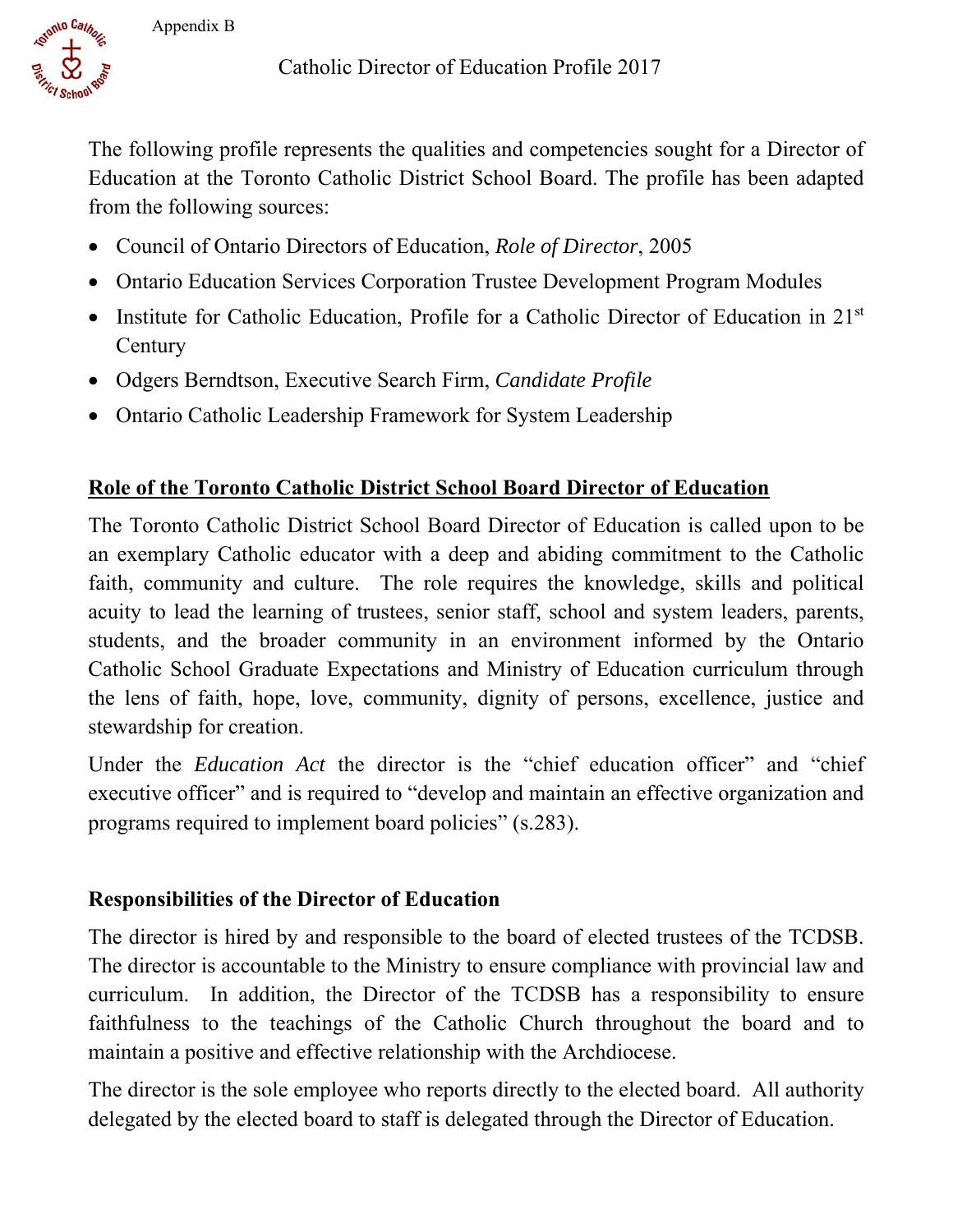

The following profile represents the qualities and competencies sought for a Director of Education at the Toronto Catholic District School Board. The profile has been adapted from the following sources:

- Council of Ontario Directors of Education, *Role of Director*, 2005
- Ontario Education Services Corporation Trustee Development Program Modules
- Institute for Catholic Education, Profile for a Catholic Director of Education in 21<sup>st</sup> **Century**
- Odgers Berndtson, Executive Search Firm, *Candidate Profile*
- Ontario Catholic Leadership Framework for System Leadership

## **Role of the Toronto Catholic District School Board Director of Education**

 an exemplary Catholic educator with a deep and abiding commitment to the Catholic The Toronto Catholic District School Board Director of Education is called upon to be faith, community and culture. The role requires the knowledge, skills and political acuity to lead the learning of trustees, senior staff, school and system leaders, parents, students, and the broader community in an environment informed by the Ontario Catholic School Graduate Expectations and Ministry of Education curriculum through the lens of faith, hope, love, community, dignity of persons, excellence, justice and stewardship for creation.

Under the *Education Act* the director is the "chief education officer" and "chief executive officer" and is required to "develop and maintain an effective organization and programs required to implement board policies" (s.283).

#### **Responsibilities of the Director of Education**

The director is hired by and responsible to the board of elected trustees of the TCDSB. The director is accountable to the Ministry to ensure compliance with provincial law and curriculum. In addition, the Director of the TCDSB has a responsibility to ensure faithfulness to the teachings of the Catholic Church throughout the board and to maintain a positive and effective relationship with the Archdiocese.

The director is the sole employee who reports directly to the elected board. All authority delegated by the elected board to staff is delegated through the Director of Education.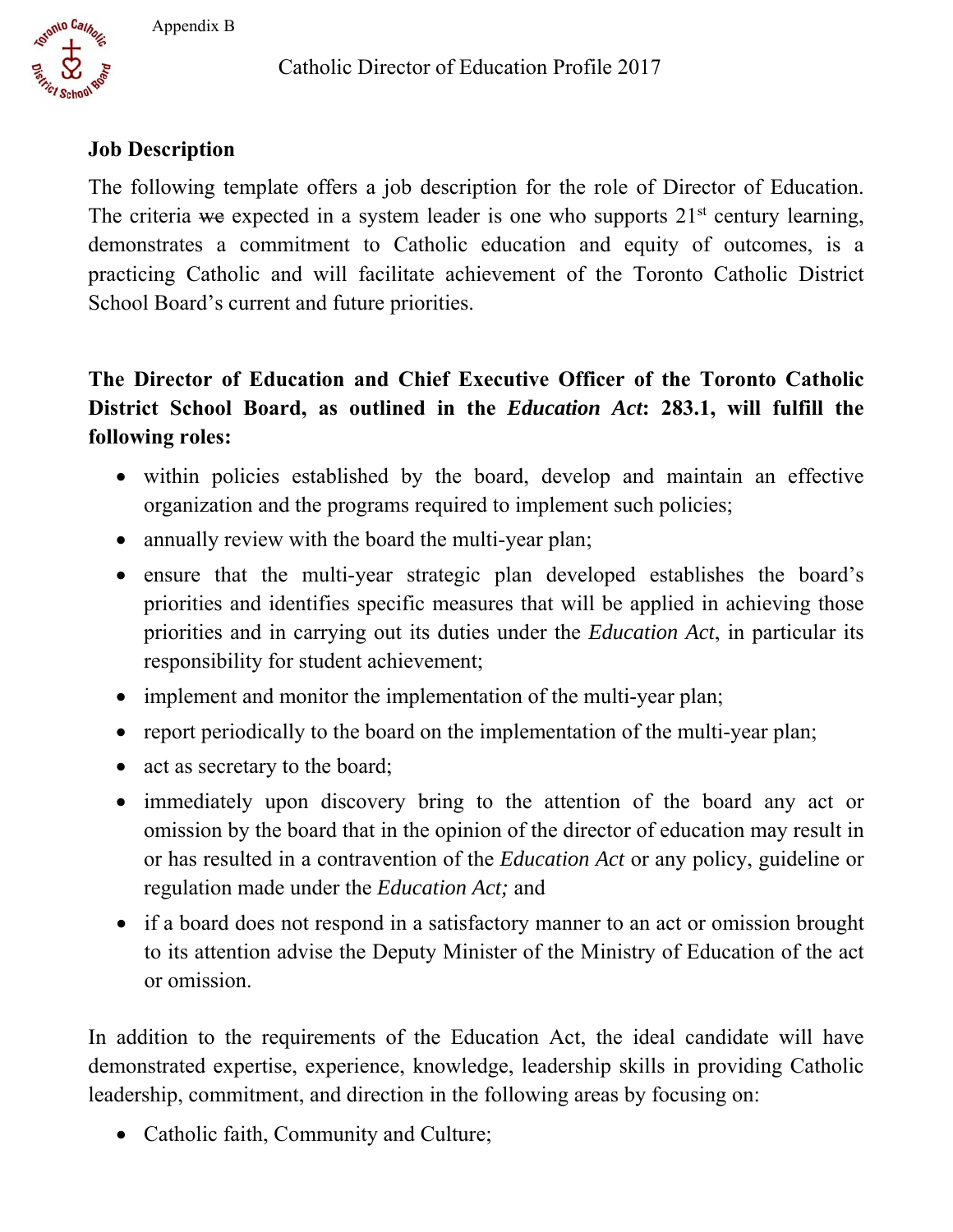Catholic Director of Education Profile 2017



### **Job Description**

The following template offers a job description for the role of Director of Education. The criteria we expected in a system leader is one who supports  $21<sup>st</sup>$  century learning, demonstrates a commitment to Catholic education and equity of outcomes, is a practicing Catholic and will facilitate achievement of the Toronto Catholic District School Board's current and future priorities.

# **The Director of Education and Chief Executive Officer of the Toronto Catholic District School Board, as outlined in the** *Education Act***: 283.1, will fulfill the following roles:**

- within policies established by the board, develop and maintain an effective organization and the programs required to implement such policies;
- annually review with the board the multi-year plan;
- ensure that the multi-year strategic plan developed establishes the board's priorities and identifies specific measures that will be applied in achieving those priorities and in carrying out its duties under the *Education Act*, in particular its responsibility for student achievement;
- implement and monitor the implementation of the multi-year plan;
- report periodically to the board on the implementation of the multi-year plan;
- act as secretary to the board;
- immediately upon discovery bring to the attention of the board any act or omission by the board that in the opinion of the director of education may result in or has resulted in a contravention of the *Education Act* or any policy, guideline or regulation made under the *Education Act;* and
- if a board does not respond in a satisfactory manner to an act or omission brought to its attention advise the Deputy Minister of the Ministry of Education of the act or omission.

In addition to the requirements of the Education Act, the ideal candidate will have demonstrated expertise, experience, knowledge, leadership skills in providing Catholic leadership, commitment, and direction in the following areas by focusing on:

• Catholic faith, Community and Culture;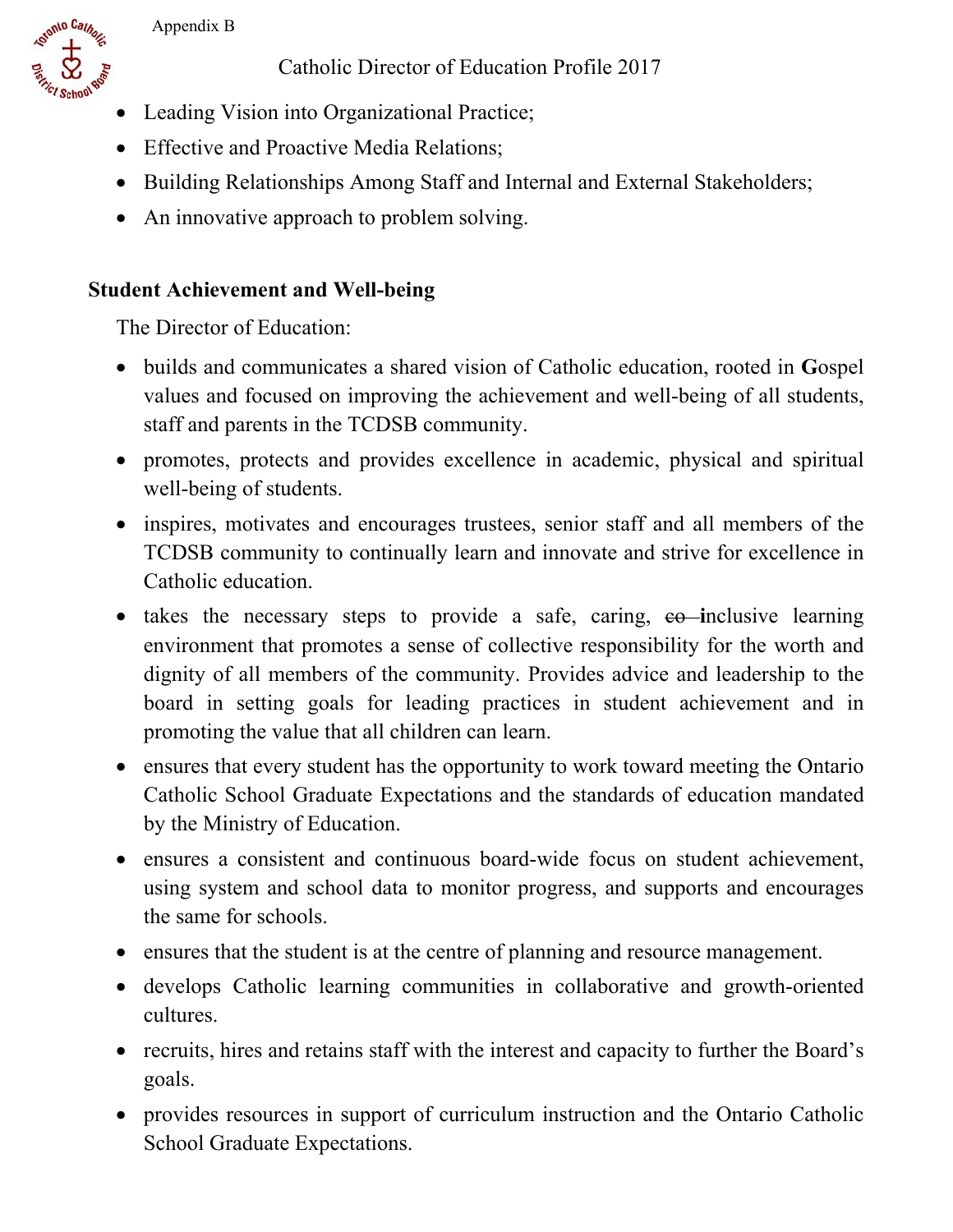onto Cathor

Catholic Director of Education Profile 2017

- Leading Vision into Organizational Practice;
- Effective and Proactive Media Relations;
- Building Relationships Among Staff and Internal and External Stakeholders;
- An innovative approach to problem solving.

## **Student Achievement and Well-being**

- values and focused on improving the achievement and well-being of all students, builds and communicates a shared vision of Catholic education, rooted in **G**ospel staff and parents in the TCDSB community.
- promotes, protects and provides excellence in academic, physical and spiritual well-being of students.
- inspires, motivates and encourages trustees, senior staff and all members of the TCDSB community to continually learn and innovate and strive for excellence in Catholic education.
- takes the necessary steps to provide a safe, caring, eo-inclusive learning environment that promotes a sense of collective responsibility for the worth and dignity of all members of the community. Provides advice and leadership to the board in setting goals for leading practices in student achievement and in promoting the value that all children can learn.
- ensures that every student has the opportunity to work toward meeting the Ontario Catholic School Graduate Expectations and the standards of education mandated by the Ministry of Education.
- ensures a consistent and continuous board-wide focus on student achievement, using system and school data to monitor progress, and supports and encourages the same for schools.
- ensures that the student is at the centre of planning and resource management.
- develops Catholic learning communities in collaborative and growth-oriented cultures.
- recruits, hires and retains staff with the interest and capacity to further the Board's goals.
- provides resources in support of curriculum instruction and the Ontario Catholic School Graduate Expectations.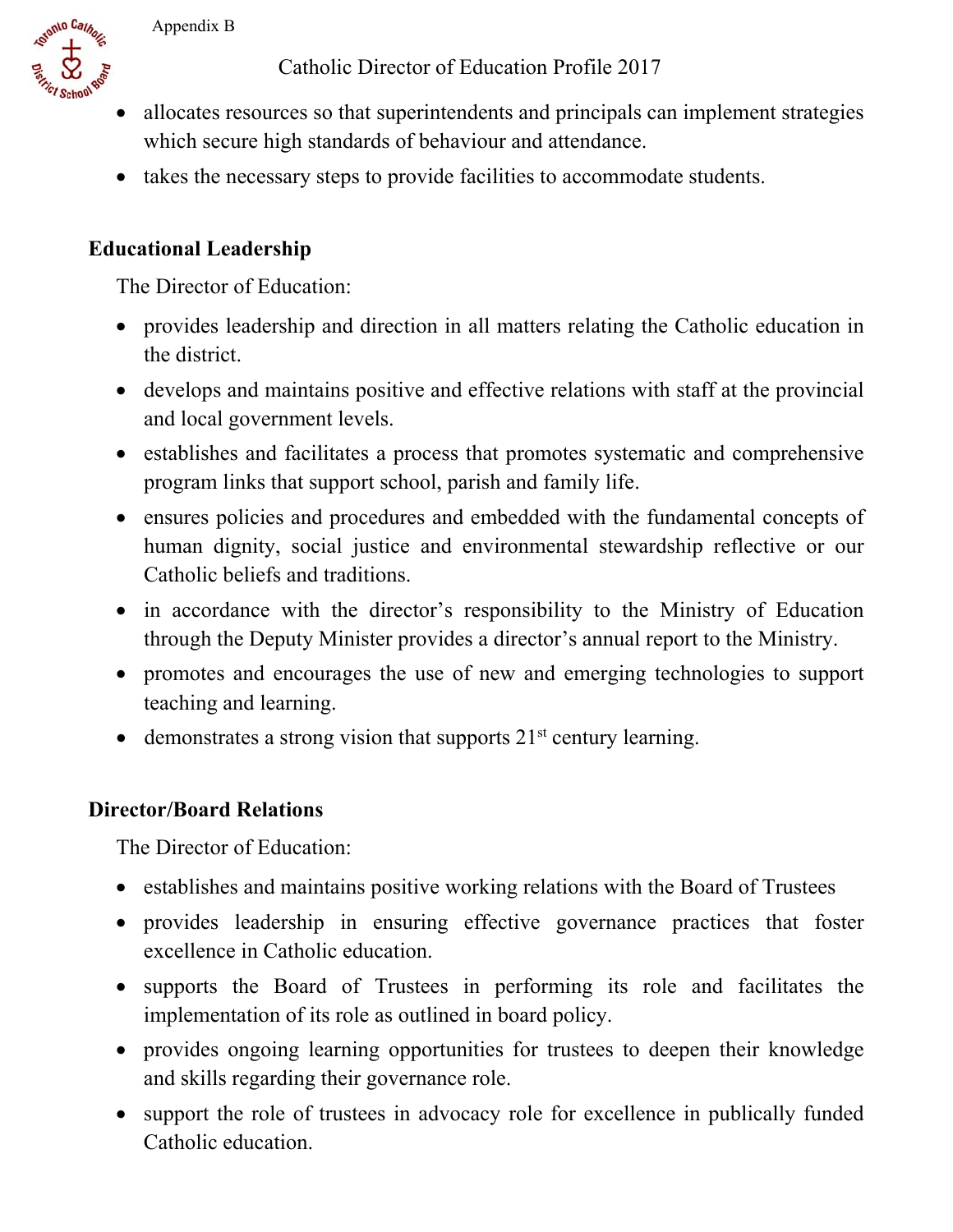Catholic Director of Education Profile 2017



- allocates resources so that superintendents and principals can implement strategies which secure high standards of behaviour and attendance.
- takes the necessary steps to provide facilities to accommodate students.

### **Educational Leadership**

The Director of Education:

- provides leadership and direction in all matters relating the Catholic education in the district.
- develops and maintains positive and effective relations with staff at the provincial and local government levels.
- establishes and facilitates a process that promotes systematic and comprehensive program links that support school, parish and family life.
- ensures policies and procedures and embedded with the fundamental concepts of human dignity, social justice and environmental stewardship reflective or our Catholic beliefs and traditions.
- in accordance with the director's responsibility to the Ministry of Education through the Deputy Minister provides a director's annual report to the Ministry.
- promotes and encourages the use of new and emerging technologies to support teaching and learning.
- $\bullet$  demonstrates a strong vision that supports  $21<sup>st</sup>$  century learning.

#### **Director/Board Relations**

- establishes and maintains positive working relations with the Board of Trustees
- provides leadership in ensuring effective governance practices that foster excellence in Catholic education.
- supports the Board of Trustees in performing its role and facilitates the implementation of its role as outlined in board policy.
- provides ongoing learning opportunities for trustees to deepen their knowledge and skills regarding their governance role.
- support the role of trustees in advocacy role for excellence in publically funded Catholic education.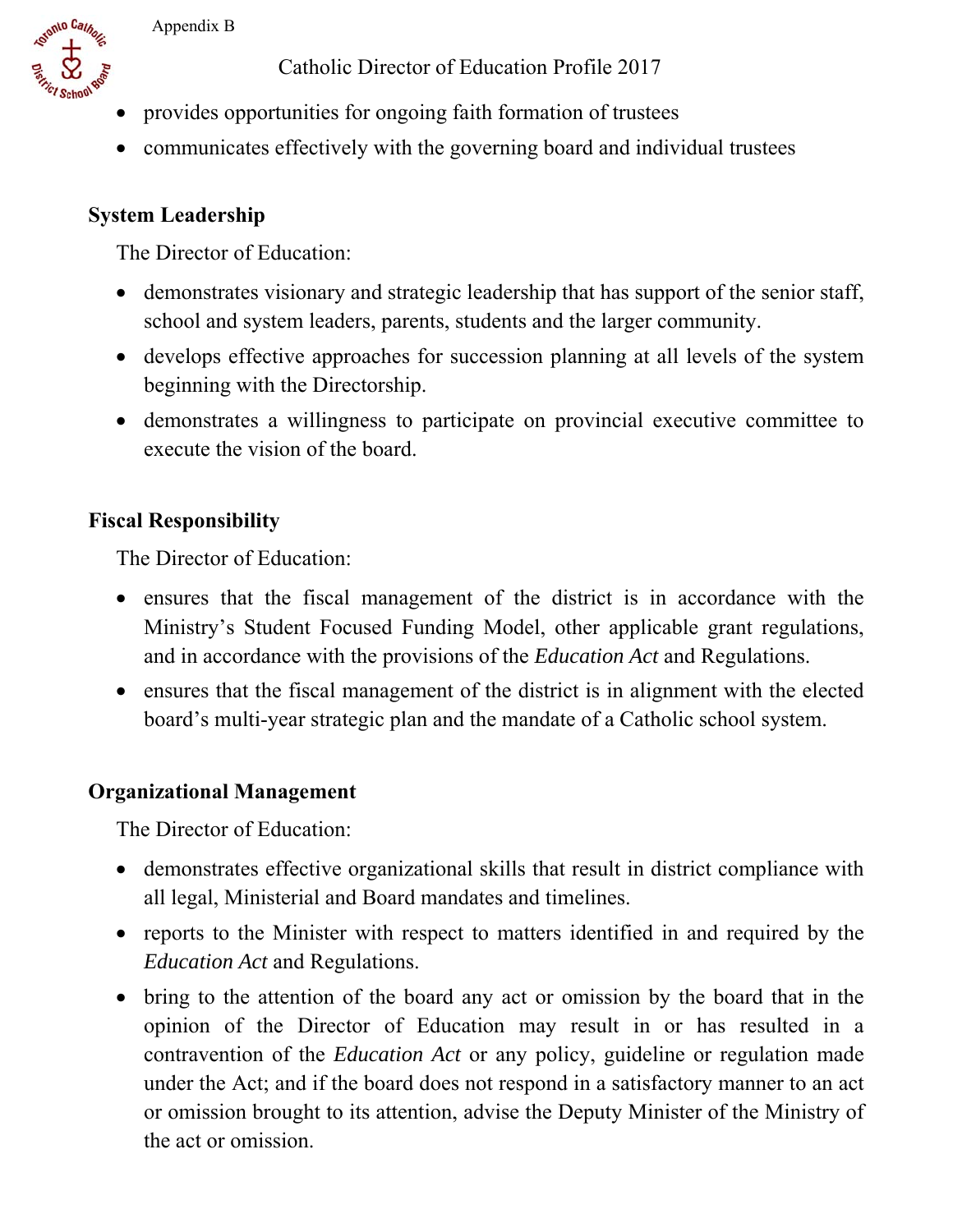onto Cathor

Catholic Director of Education Profile 2017

- provides opportunities for ongoing faith formation of trustees
- communicates effectively with the governing board and individual trustees

### **System Leadership**

The Director of Education:

- demonstrates visionary and strategic leadership that has support of the senior staff, school and system leaders, parents, students and the larger community.
- develops effective approaches for succession planning at all levels of the system beginning with the Directorship.
- demonstrates a willingness to participate on provincial executive committee to execute the vision of the board.

# **Fiscal Responsibility**

The Director of Education:

- ensures that the fiscal management of the district is in accordance with the Ministry's Student Focused Funding Model, other applicable grant regulations, and in accordance with the provisions of the *Education Act* and Regulations.
- ensures that the fiscal management of the district is in alignment with the elected board's multi-year strategic plan and the mandate of a Catholic school system.

## **Organizational Management**

- demonstrates effective organizational skills that result in district compliance with all legal, Ministerial and Board mandates and timelines.
- reports to the Minister with respect to matters identified in and required by the *Education Act* and Regulations.
- bring to the attention of the board any act or omission by the board that in the opinion of the Director of Education may result in or has resulted in a contravention of the *Education Act* or any policy, guideline or regulation made under the Act; and if the board does not respond in a satisfactory manner to an act or omission brought to its attention, advise the Deputy Minister of the Ministry of the act or omission.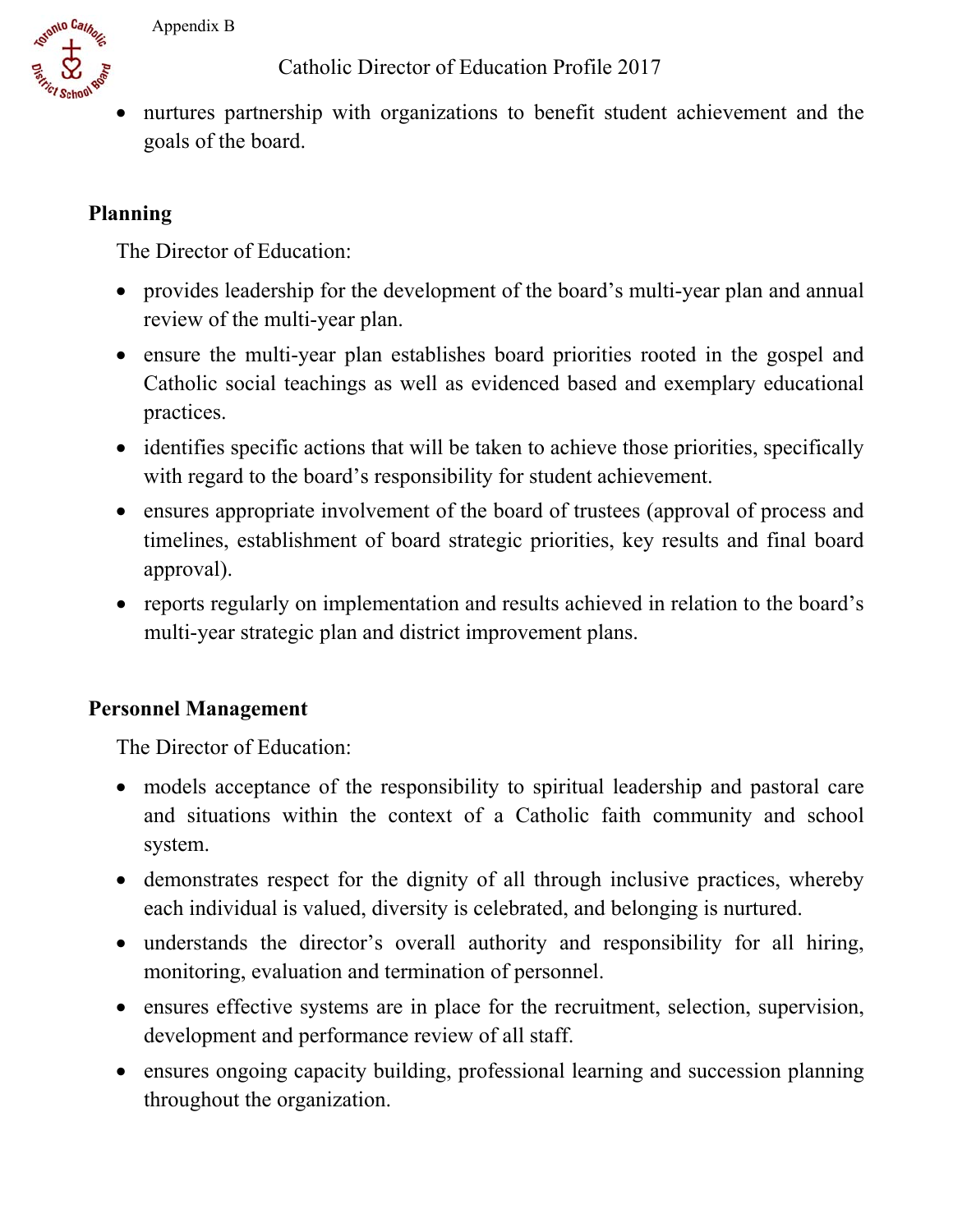

Catholic Director of Education Profile 2017

 nurtures partnership with organizations to benefit student achievement and the goals of the board.

# **Planning**

The Director of Education:

- provides leadership for the development of the board's multi-year plan and annual review of the multi-year plan.
- ensure the multi-year plan establishes board priorities rooted in the gospel and Catholic social teachings as well as evidenced based and exemplary educational practices.
- identifies specific actions that will be taken to achieve those priorities, specifically with regard to the board's responsibility for student achievement.
- ensures appropriate involvement of the board of trustees (approval of process and timelines, establishment of board strategic priorities, key results and final board approval).
- reports regularly on implementation and results achieved in relation to the board's multi-year strategic plan and district improvement plans.

# **Personnel Management**

- and situations within the context of a Catholic faith community and school models acceptance of the responsibility to spiritual leadership and pastoral care system.
- demonstrates respect for the dignity of all through inclusive practices, whereby each individual is valued, diversity is celebrated, and belonging is nurtured.
- understands the director's overall authority and responsibility for all hiring, monitoring, evaluation and termination of personnel.
- ensures effective systems are in place for the recruitment, selection, supervision, development and performance review of all staff.
- ensures ongoing capacity building, professional learning and succession planning throughout the organization.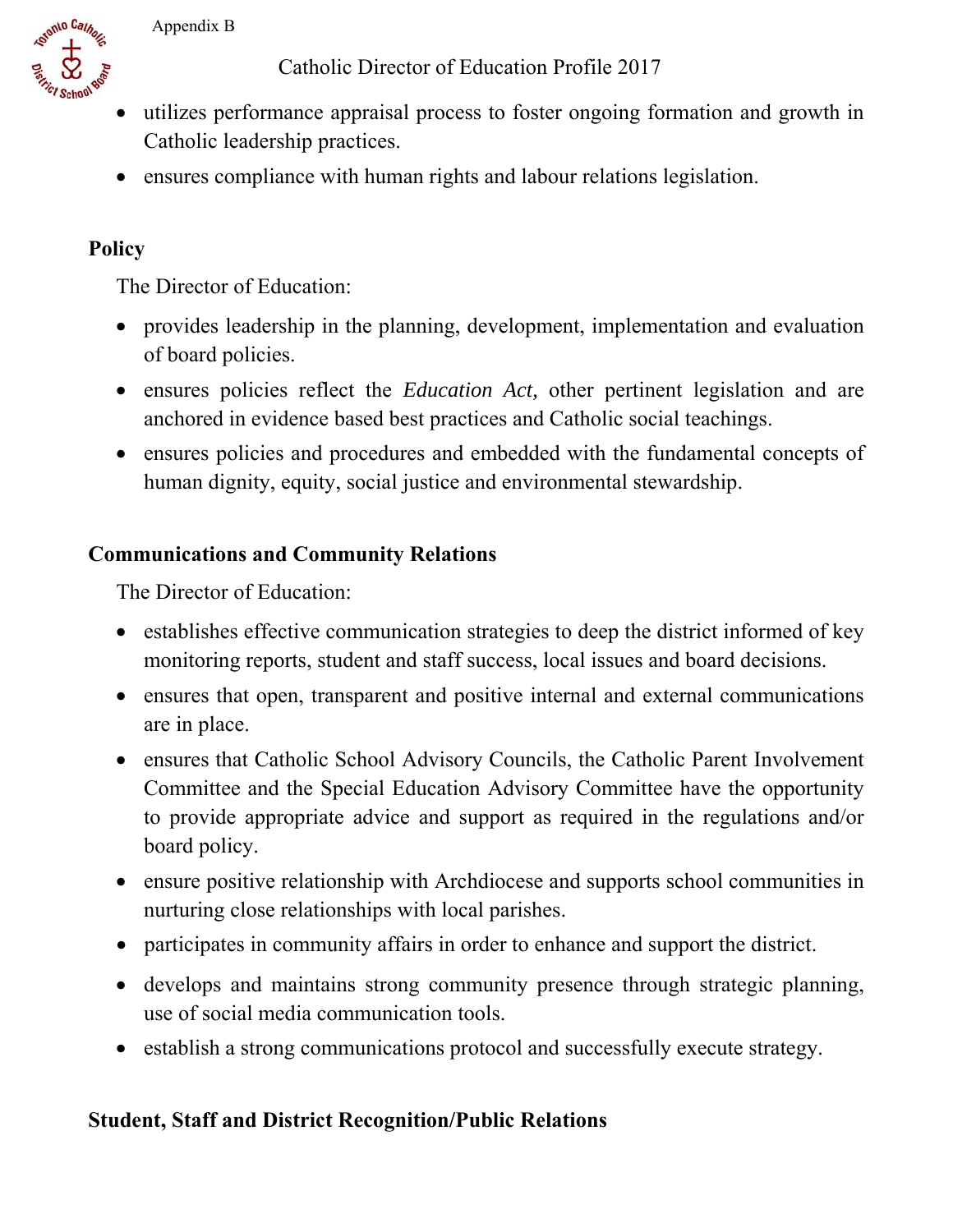Catholic Director of Education Profile 2017



ensures compliance with human rights and labour relations legislation.

### **Policy**

stonto Cathon

The Director of Education:

- provides leadership in the planning, development, implementation and evaluation of board policies.
- ensures policies reflect the *Education Act,* other pertinent legislation and are anchored in evidence based best practices and Catholic social teachings.
- ensures policies and procedures and embedded with the fundamental concepts of human dignity, equity, social justice and environmental stewardship.

### **Communications and Community Relations**

The Director of Education:

- establishes effective communication strategies to deep the district informed of key monitoring reports, student and staff success, local issues and board decisions.
- ensures that open, transparent and positive internal and external communications are in place.
- ensures that Catholic School Advisory Councils, the Catholic Parent Involvement Committee and the Special Education Advisory Committee have the opportunity to provide appropriate advice and support as required in the regulations and/or board policy.
- ensure positive relationship with Archdiocese and supports school communities in nurturing close relationships with local parishes.
- participates in community affairs in order to enhance and support the district.
- develops and maintains strong community presence through strategic planning, use of social media communication tools.
- establish a strong communications protocol and successfully execute strategy.

#### **Student, Staff and District Recognition/Public Relations**